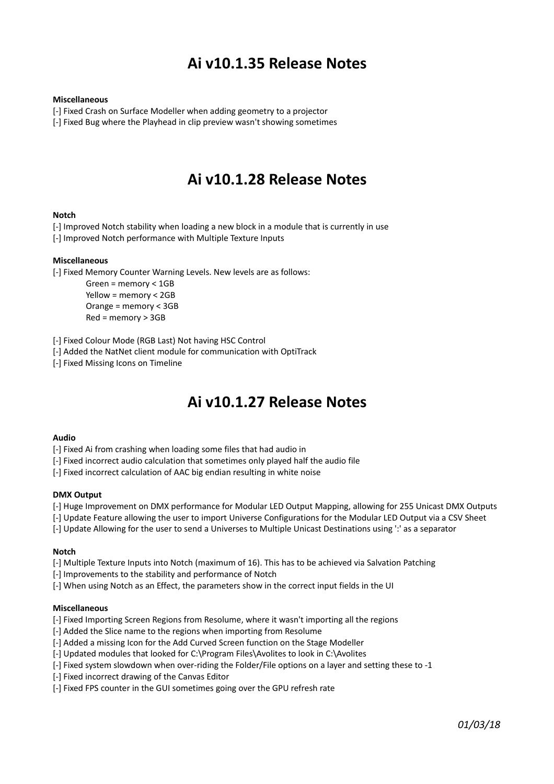# **Ai v10.1.35 Release Notes**

#### **Miscellaneous**

[-] Fixed Crash on Surface Modeller when adding geometry to a projector

[-] Fixed Bug where the Playhead in clip preview wasn't showing sometimes

# **Ai v10.1.28 Release Notes**

#### **Notch**

[-] Improved Notch stability when loading a new block in a module that is currently in use

[-] Improved Notch performance with Multiple Texture Inputs

### **Miscellaneous**

[-] Fixed Memory Counter Warning Levels. New levels are as follows:

Green = memory < 1GB Yellow = memory < 2GB Orange = memory < 3GB Red = memory > 3GB

[-] Fixed Colour Mode (RGB Last) Not having HSC Control

[-] Added the NatNet client module for communication with OptiTrack

[-] Fixed Missing Icons on Timeline

# **Ai v10.1.27 Release Notes**

#### **Audio**

[-] Fixed Ai from crashing when loading some files that had audio in

[-] Fixed incorrect audio calculation that sometimes only played half the audio file

[-] Fixed incorrect calculation of AAC big endian resulting in white noise

#### **DMX Output**

[-] Huge Improvement on DMX performance for Modular LED Output Mapping, allowing for 255 Unicast DMX Outputs

[-] Update Feature allowing the user to import Universe Configurations for the Modular LED Output via a CSV Sheet

[-] Update Allowing for the user to send a Universes to Multiple Unicast Destinations using ':' as a separator

#### **Notch**

[-] Multiple Texture Inputs into Notch (maximum of 16). This has to be achieved via Salvation Patching

[-] Improvements to the stability and performance of Notch

[-] When using Notch as an Effect, the parameters show in the correct input fields in the UI

#### **Miscellaneous**

[-] Fixed Importing Screen Regions from Resolume, where it wasn't importing all the regions

[-] Added the Slice name to the regions when importing from Resolume

[-] Added a missing Icon for the Add Curved Screen function on the Stage Modeller

[-] Updated modules that looked for C:\Program Files\Avolites to look in C:\Avolites

[-] Fixed system slowdown when over-riding the Folder/File options on a layer and setting these to -1

[-] Fixed incorrect drawing of the Canvas Editor

[-] Fixed FPS counter in the GUI sometimes going over the GPU refresh rate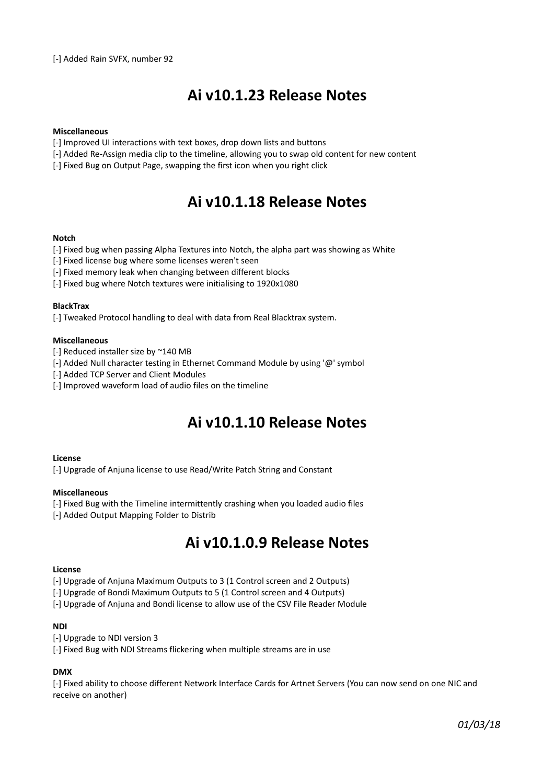# **Ai v10.1.23 Release Notes**

### **Miscellaneous**

- [-] Improved UI interactions with text boxes, drop down lists and buttons
- [-] Added Re-Assign media clip to the timeline, allowing you to swap old content for new content
- [-] Fixed Bug on Output Page, swapping the first icon when you right click

# **Ai v10.1.18 Release Notes**

#### **Notch**

- [-] Fixed bug when passing Alpha Textures into Notch, the alpha part was showing as White
- [-] Fixed license bug where some licenses weren't seen
- [-] Fixed memory leak when changing between different blocks
- [-] Fixed bug where Notch textures were initialising to 1920x1080

#### **BlackTrax**

[-] Tweaked Protocol handling to deal with data from Real Blacktrax system.

#### **Miscellaneous**

- [-] Reduced installer size by ~140 MB
- [-] Added Null character testing in Ethernet Command Module by using '@' symbol
- [-] Added TCP Server and Client Modules
- [-] Improved waveform load of audio files on the timeline

# **Ai v10.1.10 Release Notes**

#### **License**

[-] Upgrade of Anjuna license to use Read/Write Patch String and Constant

#### **Miscellaneous**

- [-] Fixed Bug with the Timeline intermittently crashing when you loaded audio files
- [-] Added Output Mapping Folder to Distrib

# **Ai v10.1.0.9 Release Notes**

#### **License**

[-] Upgrade of Anjuna Maximum Outputs to 3 (1 Control screen and 2 Outputs)

- [-] Upgrade of Bondi Maximum Outputs to 5 (1 Control screen and 4 Outputs)
- [-] Upgrade of Anjuna and Bondi license to allow use of the CSV File Reader Module

### **NDI**

- [-] Upgrade to NDI version 3
- [-] Fixed Bug with NDI Streams flickering when multiple streams are in use

## **DMX**

[-] Fixed ability to choose different Network Interface Cards for Artnet Servers (You can now send on one NIC and receive on another)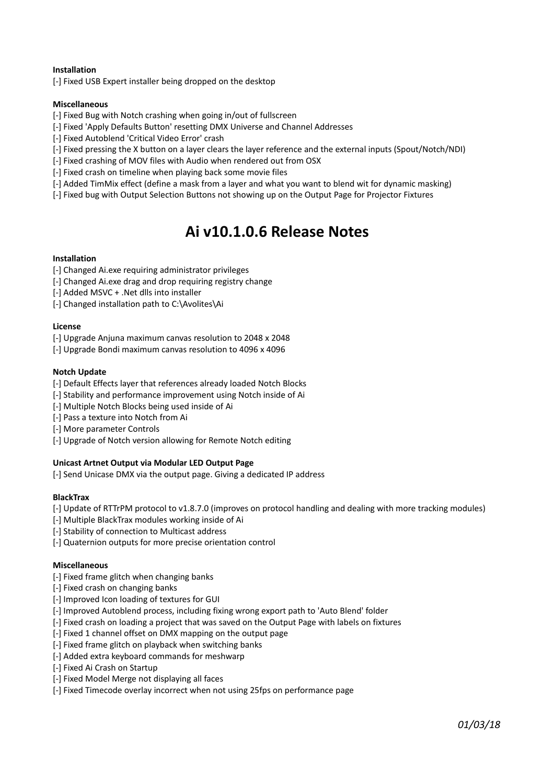### **Installation**

[-] Fixed USB Expert installer being dropped on the desktop

### **Miscellaneous**

- [-] Fixed Bug with Notch crashing when going in/out of fullscreen
- [-] Fixed 'Apply Defaults Button' resetting DMX Universe and Channel Addresses
- [-] Fixed Autoblend 'Critical Video Error' crash
- [-] Fixed pressing the X button on a layer clears the layer reference and the external inputs (Spout/Notch/NDI)
- [-] Fixed crashing of MOV files with Audio when rendered out from OSX
- [-] Fixed crash on timeline when playing back some movie files
- [-] Added TimMix effect (define a mask from a layer and what you want to blend wit for dynamic masking)
- [-] Fixed bug with Output Selection Buttons not showing up on the Output Page for Projector Fixtures

# **Ai v10.1.0.6 Release Notes**

### **Installation**

- [-] Changed Ai.exe requiring administrator privileges
- [-] Changed Ai.exe drag and drop requiring registry change
- [-] Added MSVC + .Net dlls into installer
- [-] Changed installation path to C:\Avolites\Ai

#### **License**

- [-] Upgrade Anjuna maximum canvas resolution to 2048 x 2048
- [-] Upgrade Bondi maximum canvas resolution to 4096 x 4096

#### **Notch Update**

- [-] Default Effects layer that references already loaded Notch Blocks
- [-] Stability and performance improvement using Notch inside of Ai
- [-] Multiple Notch Blocks being used inside of Ai
- [-] Pass a texture into Notch from Ai
- [-] More parameter Controls
- [-] Upgrade of Notch version allowing for Remote Notch editing

### **Unicast Artnet Output via Modular LED Output Page**

[-] Send Unicase DMX via the output page. Giving a dedicated IP address

### **BlackTrax**

- [-] Update of RTTrPM protocol to v1.8.7.0 (improves on protocol handling and dealing with more tracking modules)
- [-] Multiple BlackTrax modules working inside of Ai
- [-] Stability of connection to Multicast address
- [-] Quaternion outputs for more precise orientation control

#### **Miscellaneous**

- [-] Fixed frame glitch when changing banks
- [-] Fixed crash on changing banks
- [-] Improved Icon loading of textures for GUI
- [-] Improved Autoblend process, including fixing wrong export path to 'Auto Blend' folder
- [-] Fixed crash on loading a project that was saved on the Output Page with labels on fixtures
- [-] Fixed 1 channel offset on DMX mapping on the output page
- [-] Fixed frame glitch on playback when switching banks
- [-] Added extra keyboard commands for meshwarp
- [-] Fixed Ai Crash on Startup
- [-] Fixed Model Merge not displaying all faces
- [-] Fixed Timecode overlay incorrect when not using 25fps on performance page